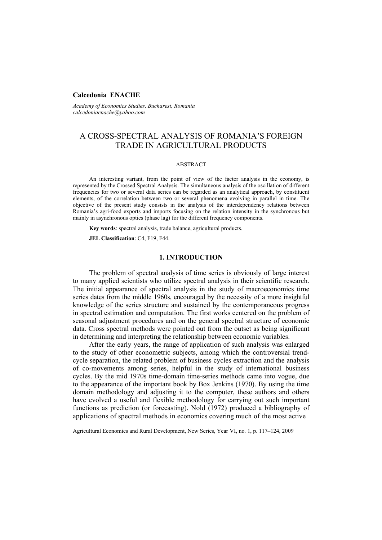### **Calcedonia ENACHE**

*Academy of Economics Studies, Bucharest, Romania calcedoniaenache@yahoo.com* 

# A CROSS-SPECTRAL ANALYSIS OF ROMANIA'S FOREIGN TRADE IN AGRICULTURAL PRODUCTS

#### ABSTRACT

An interesting variant, from the point of view of the factor analysis in the economy, is represented by the Crossed Spectral Analysis. The simultaneous analysis of the oscillation of different frequencies for two or several data series can be regarded as an analytical approach, by constituent elements, of the correlation between two or several phenomena evolving in parallel in time. The objective of the present study consists in the analysis of the interdependency relations between Romania's agri-food exports and imports focusing on the relation intensity in the synchronous but mainly in asynchronous optics (phase lag) for the different frequency components.

**Key words**: spectral analysis, trade balance, agricultural products.

**JEL Classification**: C4, F19, F44.

#### **1. INTRODUCTION**

The problem of spectral analysis of time series is obviously of large interest to many applied scientists who utilize spectral analysis in their scientific research. The initial appearance of spectral analysis in the study of macroeconomics time series dates from the middle 1960s, encouraged by the necessity of a more insightful knowledge of the series structure and sustained by the contemporaneous progress in spectral estimation and computation. The first works centered on the problem of seasonal adjustment procedures and on the general spectral structure of economic data. Cross spectral methods were pointed out from the outset as being significant in determining and interpreting the relationship between economic variables.

After the early years, the range of application of such analysis was enlarged to the study of other econometric subjects, among which the controversial trendcycle separation, the related problem of business cycles extraction and the analysis of co-movements among series, helpful in the study of international business cycles. By the mid 1970s time-domain time-series methods came into vogue, due to the appearance of the important book by Box Jenkins (1970). By using the time domain methodology and adjusting it to the computer, these authors and others have evolved a useful and flexible methodology for carrying out such important functions as prediction (or forecasting). Nold (1972) produced a bibliography of applications of spectral methods in economics covering much of the most active

Agricultural Economics and Rural Development, New Series, Year VI, no. 1, p. 117–124, 2009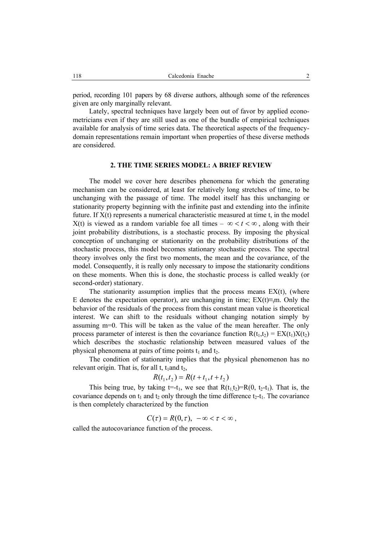period, recording 101 papers by 68 diverse authors, although some of the references given are only marginally relevant.

Lately, spectral techniques have largely been out of favor by applied econometricians even if they are still used as one of the bundle of empirical techniques available for analysis of time series data. The theoretical aspects of the frequencydomain representations remain important when properties of these diverse methods are considered.

### **2. THE TIME SERIES MODEL: A BRIEF REVIEW**

The model we cover here describes phenomena for which the generating mechanism can be considered, at least for relatively long stretches of time, to be unchanging with the passage of time. The model itself has this unchanging or stationarity property beginning with the infinite past and extending into the infinite future. If X(t) represents a numerical characteristic measured at time t, in the model X(t) is viewed as a random variable foe all times –  $\infty < t < \infty$ , along with their joint probability distributions, is a stochastic process. By imposing the physical conception of unchanging or stationarity on the probability distributions of the stochastic process, this model becomes stationary stochastic process. The spectral theory involves only the first two moments, the mean and the covariance, of the model. Consequently, it is really only necessary to impose the stationarity conditions on these moments. When this is done, the stochastic process is called weakly (or second-order) stationary.

The stationarity assumption implies that the process means  $EX(t)$ , (where E denotes the expectation operator), are unchanging in time;  $EX(t) \equiv m$ . Only the behavior of the residuals of the process from this constant mean value is theoretical interest. We can shift to the residuals without changing notation simply by assuming m=0. This will be taken as the value of the mean hereafter. The only process parameter of interest is then the covariance function  $R(t_1,t_2) = EX(t_1)X(t_2)$ which describes the stochastic relationship between measured values of the physical phenomena at pairs of time points  $t_1$  and  $t_2$ .

The condition of stationarity implies that the physical phenomenon has no relevant origin. That is, for all t,  $t_1$  and  $t_2$ ,

$$
R(t_1, t_2) = R(t + t_1, t + t_2)
$$

This being true, by taking  $t=t_1$ , we see that  $R(t_1,t_2)=R(0, t_2-t_1)$ . That is, the covariance depends on  $t_1$  and  $t_2$  only through the time difference  $t_2-t_1$ . The covariance is then completely characterized by the function

 $C(\tau) = R(0, \tau), -\infty < \tau < \infty$ ,

called the autocovariance function of the process.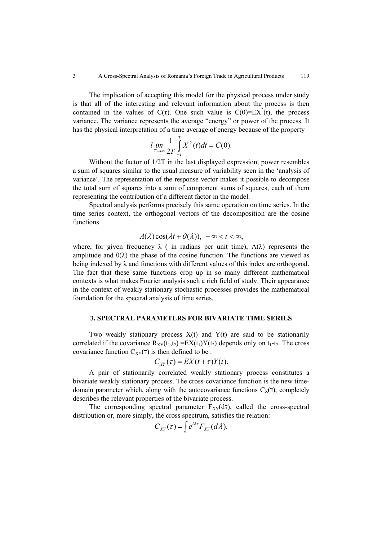The implication of accepting this model for the physical process under study is that all of the interesting and relevant information about the process is then contained in the values of C(τ). One such value is  $C(0)=EX^2(t)$ , the process variance. The variance represents the average "energy" or power of the process. It has the physical interpretation of a time average of energy because of the property

$$
l \lim_{T \to \infty} \frac{1}{2T} \int_{-T}^{T} X^2(t) dt = C(0).
$$

Without the factor of 1/2T in the last displayed expression, power resembles a sum of squares similar to the usual measure of variability seen in the 'analysis of variance'. The representation of the response vector makes it possible to decompose the total sum of squares into a sum of component sums of squares, each of them representing the contribution of a different factor in the model.

Spectral analysis performs precisely this same operation on time series. In the time series context, the orthogonal vectors of the decomposition are the cosine functions

$$
A(\lambda)\cos(\lambda t+\theta(\lambda)), -\infty < t < \infty,
$$

where, for given frequency  $\lambda$  ( in radians per unit time),  $A(\lambda)$  represents the amplitude and  $\theta(\lambda)$  the phase of the cosine function. The functions are viewed as being indexed by  $\lambda$  and functions with different values of this index are orthogonal. The fact that these same functions crop up in so many different mathematical contexts is what makes Fourier analysis such a rich field of study. Their appearance in the context of weakly stationary stochastic processes provides the mathematical foundation for the spectral analysis of time series.

### **3. SPECTRAL PARAMETERS FOR BIVARIATE TIME SERIES**

Two weakly stationary process  $X(t)$  and  $Y(t)$  are said to be stationarily correlated if the covariance  $R_{XY}(t_1,t_2) = EX(t_1)Y(t_2)$  depends only on  $t_1-t_2$ . The cross covariance function  $C_{XY}(\tau)$  is then defined to be :

$$
C_{XY}(\tau) = EX(t+\tau)Y(t).
$$

A pair of stationarily correlated weakly stationary process constitutes a bivariate weakly stationary process. The cross-covariance function is the new timedomain parameter which, along with the autocovariance functions  $C_x(7)$ , completely describes the relevant properties of the bivariate process.

The corresponding spectral parameter  $F_{XY}(d\tau)$ , called the cross-spectral distribution or, more simply, the cross spectrum, satisfies the relation:

$$
C_{XY}(\tau) = \int e^{i\lambda \tau} F_{XY}(d\lambda).
$$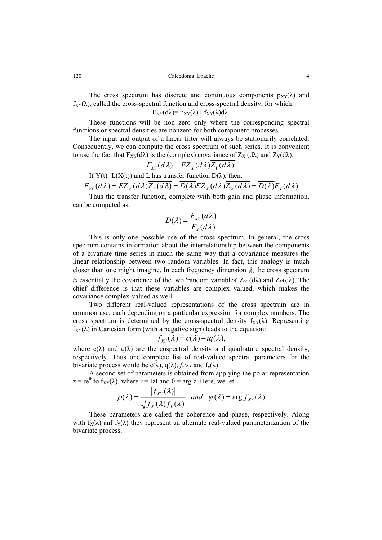The cross spectrum has discrete and continuous components  $p_{XY}(\lambda)$  and  $f_{XY}(\lambda)$ , called the cross-spectral function and cross-spectral density, for which:

 $F_{XY}(d\lambda)=p_{XY}(\lambda)+f_{XY}(\lambda)d\lambda$ .

These functions will be non zero only where the corresponding spectral functions or spectral densities are nonzero for both component processes.

The input and output of a linear filter will always be stationarily correlated. Consequently, we can compute the cross spectrum of such series. It is convenient to use the fact that  $F_{XY}(d\lambda)$  is the (complex) covariance of  $Z_X(d\lambda)$  and  $Z_Y(d\lambda)$ :

$$
F_{XY}(d\lambda) = EZ_X(d\lambda)Z_Y(d\lambda).
$$

If  $Y(t)=L(X(t))$  and L has transfer function  $D(\lambda)$ , then:

$$
F_{XY}(d\lambda) = EZ_X(d\lambda)\overline{Z_Y(d\lambda)} = \overline{D(\lambda)}EZ_X(d\lambda)\overline{Z_X(d\lambda)} = \overline{D(\lambda)}F_X(d\lambda)
$$

Thus the transfer function, complete with both gain and phase information, can be computed as:

$$
D(\lambda) = \frac{F_{XY}(d\lambda)}{F_X(d\lambda)}
$$

This is only one possible use of the cross spectrum. In general, the cross spectrum contains information about the interrelationship between the components of a bivariate time series in much the same way that a covariance measures the linear relationship between two random variables. In fact, this analogy is much closer than one might imagine. In each frequency dimension  $\lambda$ , the cross spectrum *is* essentially the covariance of the two 'random variables'  $Z_X(d\lambda)$  and  $Z_Y(d\lambda)$ . The chief difference is that these variables are complex valued, which makes the covariance complex-valued as well.

Two different real-valued representations of the cross spectrum are in common use, each depending on a particular expression for complex numbers. The cross spectrum is determined by the cross-spectral density  $f_{XY}(\lambda)$ . Representing  $f_{XY}(\lambda)$  in Cartesian form (with a negative sign) leads to the equation:

$$
f_{XY}(\lambda) = c(\lambda) - iq(\lambda),
$$

where  $c(\lambda)$  and  $q(\lambda)$  are the cospectral density and quadrature spectral density, respectively. Thus one complete list of real-valued spectral parameters for the bivariate process would be  $c(\lambda)$ ,  $q(\lambda)$ ,  $f_x(\lambda)$  and  $f_y(\lambda)$ .

A second set of parameters is obtained from applying the polar representation  $z = re^{i\theta}$  to  $f_{XY}(\lambda)$ , where  $r = IzI$  and  $\theta = arg z$ . Here, we let

$$
\rho(\lambda) = \frac{|f_{XY}(\lambda)|}{\sqrt{f_X(\lambda)f_Y(\lambda)}} \quad \text{and} \quad \psi(\lambda) = \arg f_{XY}(\lambda)
$$

These parameters are called the coherence and phase, respectively. Along with  $f_X(\lambda)$  and  $f_Y(\lambda)$  they represent an alternate real-valued parameterization of the bivariate process.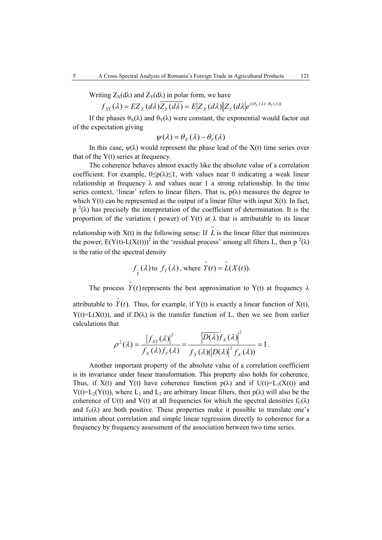Writing  $Z_{\rm X}(d\lambda)$  and  $Z_{\rm Y}(d\lambda)$  in polar form, we have

$$
f_{XY}(\lambda) = EZ_X(d\lambda)\overline{Z_Y(d\lambda)} = E\big|Z_X(d\lambda)\big|Z_Y(d\lambda)e^{i(\theta_X(\lambda)-\theta_Y(\lambda))}
$$

If the phases  $\theta_X(\lambda)$  and  $\theta_Y(\lambda)$  were constant, the exponential would factor out of the expectation giving

$$
\psi(\lambda) = \theta_X(\lambda) - \theta_Y(\lambda)
$$

In this case,  $\psi(\lambda)$  would represent the phase lead of the  $X(t)$  time series over that of the Y(t) series at frequency.

The coherence behaves almost exactly like the absolute value of a correlation coefficient. For example,  $0 \leq p(\lambda) \leq 1$ , with values near 0 indicating a weak linear relationship at frequency  $\lambda$  and values near 1 a strong relationship. In the time series context, 'linear' refers to linear filters. That is,  $p(\lambda)$  measures the degree to which  $Y(t)$  can be represented as the output of a linear filter with input  $X(t)$ . In fact,  $p^{2}(\lambda)$  has precisely the interpretation of the coefficient of determination. It is the proportion of the variation ( power) of  $Y(t)$  at  $\lambda$  that is attributable to its linear

relationship with  $X(t)$  in the following sense: If  $\hat{L}$  is the linear filter that minimizes the power,  $E(Y(t)-L(X(t)))^2$  in the 'residual process' among all filters L, then  $p^2(\lambda)$ is the ratio of the spectral density

$$
f_{\hat{Y}}(\lambda)
$$
 to  $f_Y(\lambda)$ , where  $\hat{Y}(t) = \hat{L}(X(t))$ .

The process  $\hat{Y}(t)$  represents the best approximation to Y(t) at frequency  $\lambda$ attributable to  $\hat{Y}(t)$ . Thus, for example, if Y(t) is exactly a linear function of X(t),  $Y(t)=L(X(t))$ , and if  $D(\lambda)$  is the transfer function of L, then we see from earlier calculations that

$$
\rho^{2}(\lambda) = \frac{\left|f_{XY}(\lambda)\right|^{2}}{f_{X}(\lambda)f_{Y}(\lambda)} = \frac{\left|\overline{D(\lambda)}f_{X}(\lambda)\right|^{2}}{f_{X}(\lambda)(\left|D(\lambda)\right|^{2}f_{X}(\lambda))} = 1.
$$

Another important property of the absolute value of a correlation coefficient is its invariance under linear transformation. This property also holds for coherence. Thus, if  $X(t)$  and  $Y(t)$  have coherence function  $p(\lambda)$  and if  $U(t)=L_1(X(t))$  and V(t)=L<sub>2</sub>(Y(t)), where L<sub>1</sub> and L<sub>2</sub> are arbitrary linear filters, then  $p(\lambda)$  will also be the coherence of U(t) and V(t) at all frequencies for which the spectral densities  $f_U(\lambda)$ and  $f_V(\lambda)$  are both positive. These properties make it possible to translate one's intuition about correlation and simple linear regression directly to coherence for a frequency by frequency assessment of the association between two time series.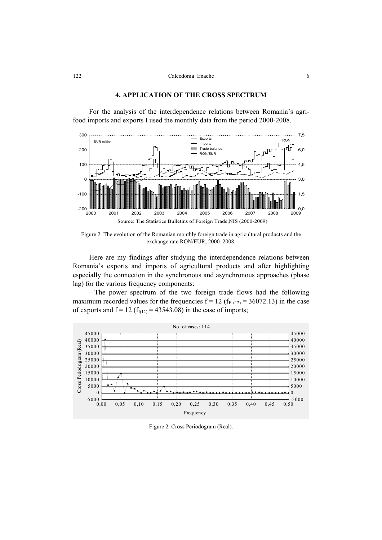

## **4. APPLICATION OF THE CROSS SPECTRUM**

For the analysis of the interdependence relations between Romania's agrifood imports and exports I used the monthly data from the period 2000-2008.

Figure 2. The evolution of the Romanian monthly foreign trade in agricultural products and the exchange rate RON/EUR, 2000–2008.

Here are my findings after studying the interdependence relations between Romania's exports and imports of agricultural products and after highlighting especially the connection in the synchronous and asynchronous approaches (phase lag) for the various frequency components:

– The power spectrum of the two foreign trade flows had the following maximum recorded values for the frequencies  $f = 12$  ( $f_{E(12)} = 36072.13$ ) in the case of exports and  $f = 12$  ( $f<sub>I(12)</sub> = 43543.08$ ) in the case of imports;



Figure 2. Cross Periodogram (Real).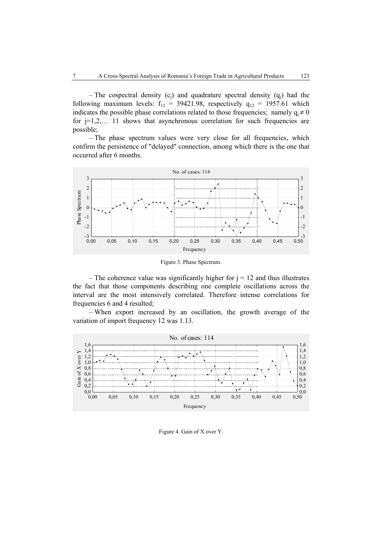– The cospectral density  $(c_i)$  and quadrature spectral density  $(q_i)$  had the following maximum levels:  $f_{12} = 39421.98$ , respectively  $q_{12} = 1957.61$  which indicates the possible phase correlations related to those frequencies; namely  $q_i \neq 0$ for  $j=1,2,...$  11 shows that asynchronous correlation for such frequencies are possible;

– The phase spectrum values were very close for all frequencies, which confirm the persistence of "delayed" connection, among which there is the one that occurred after 6 months.



Figure 3. Phase Spectrum.

– The coherence value was significantly higher for  $j = 12$  and thus illustrates the fact that those components describing one complete oscillations across the interval are the most intensively correlated. Therefore intense correlations for frequencies 6 and 4 resulted;

– When export increased by an oscillation, the growth average of the variation of import frequency 12 was 1.13.



Figure 4. Gain of X over Y.